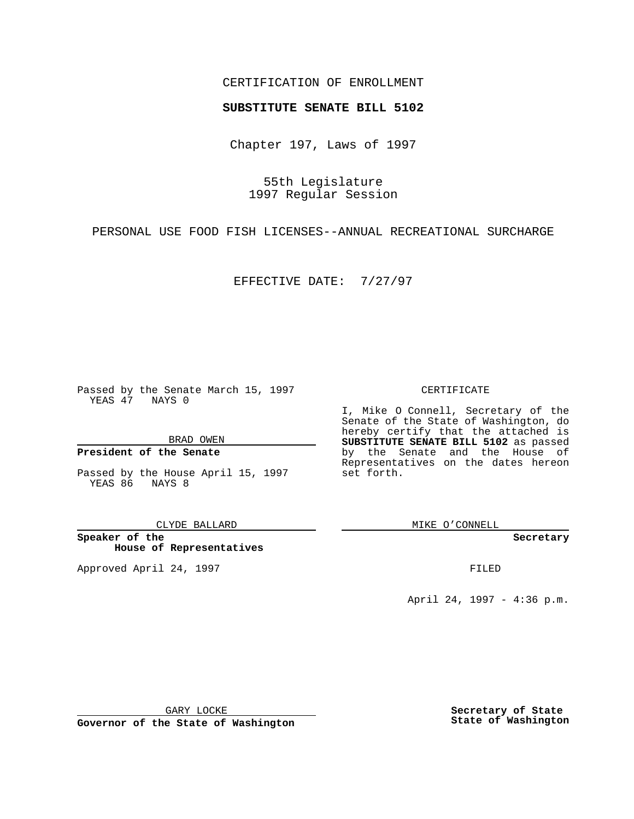### CERTIFICATION OF ENROLLMENT

# **SUBSTITUTE SENATE BILL 5102**

Chapter 197, Laws of 1997

55th Legislature 1997 Regular Session

PERSONAL USE FOOD FISH LICENSES--ANNUAL RECREATIONAL SURCHARGE

EFFECTIVE DATE: 7/27/97

Passed by the Senate March 15, 1997 YEAS 47 NAYS 0

BRAD OWEN

### **President of the Senate**

Passed by the House April 15, 1997 YEAS 86 NAYS 8

CLYDE BALLARD

**Speaker of the House of Representatives**

Approved April 24, 1997 **FILED** 

#### CERTIFICATE

I, Mike O Connell, Secretary of the Senate of the State of Washington, do hereby certify that the attached is **SUBSTITUTE SENATE BILL 5102** as passed by the Senate and the House of Representatives on the dates hereon set forth.

MIKE O'CONNELL

**Secretary**

April 24, 1997 - 4:36 p.m.

GARY LOCKE

**Governor of the State of Washington**

**Secretary of State State of Washington**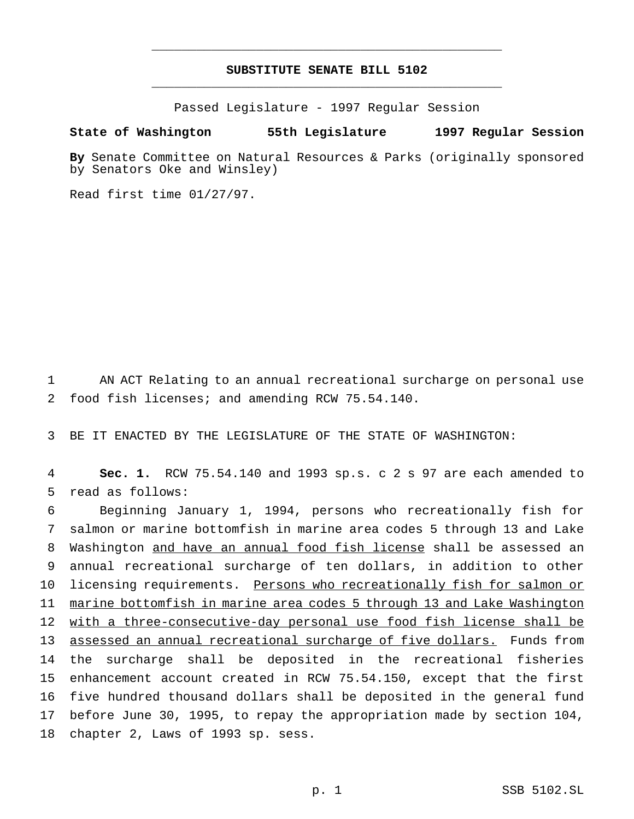## **SUBSTITUTE SENATE BILL 5102** \_\_\_\_\_\_\_\_\_\_\_\_\_\_\_\_\_\_\_\_\_\_\_\_\_\_\_\_\_\_\_\_\_\_\_\_\_\_\_\_\_\_\_\_\_\_\_

\_\_\_\_\_\_\_\_\_\_\_\_\_\_\_\_\_\_\_\_\_\_\_\_\_\_\_\_\_\_\_\_\_\_\_\_\_\_\_\_\_\_\_\_\_\_\_

Passed Legislature - 1997 Regular Session

#### **State of Washington 55th Legislature 1997 Regular Session**

**By** Senate Committee on Natural Resources & Parks (originally sponsored by Senators Oke and Winsley)

Read first time 01/27/97.

 AN ACT Relating to an annual recreational surcharge on personal use food fish licenses; and amending RCW 75.54.140.

BE IT ENACTED BY THE LEGISLATURE OF THE STATE OF WASHINGTON:

 **Sec. 1.** RCW 75.54.140 and 1993 sp.s. c 2 s 97 are each amended to read as follows:

 Beginning January 1, 1994, persons who recreationally fish for salmon or marine bottomfish in marine area codes 5 through 13 and Lake Washington and have an annual food fish license shall be assessed an annual recreational surcharge of ten dollars, in addition to other 10 licensing requirements. Persons who recreationally fish for salmon or marine bottomfish in marine area codes 5 through 13 and Lake Washington with a three-consecutive-day personal use food fish license shall be assessed an annual recreational surcharge of five dollars. Funds from the surcharge shall be deposited in the recreational fisheries enhancement account created in RCW 75.54.150, except that the first five hundred thousand dollars shall be deposited in the general fund before June 30, 1995, to repay the appropriation made by section 104, chapter 2, Laws of 1993 sp. sess.